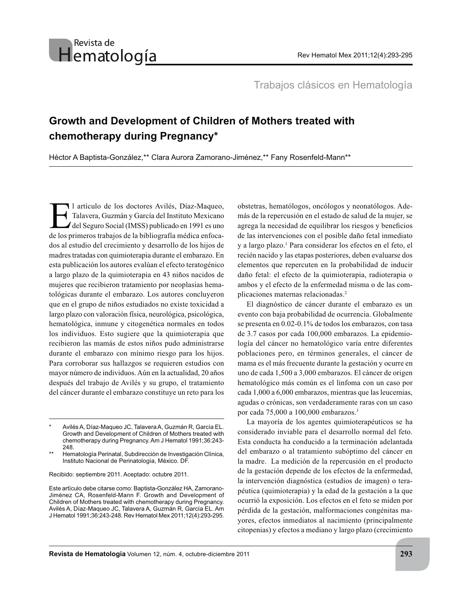## Revista de Hematología

Trabajos clásicos en Hematología

## **Growth and Development of Children of Mothers treated with chemotherapy during Pregnancy\***

Héctor A Baptista-González,\*\* Clara Aurora Zamorano-Jiménez,\*\* Fany Rosenfeld-Mann\*\*

1 artículo de los doctores Avilés, Díaz-Maqueo,<br>Talavera, Guzmán y García del Instituto Mexicano<br>del Seguro Social (IMSS) publicado en 1991 es uno Talavera, Guzmán y García del Instituto Mexicano  $\blacktriangle$  del Seguro Social (IMSS) publicado en 1991 es uno de los primeros trabajos de la bibliografía médica enfocados al estudio del crecimiento y desarrollo de los hijos de madres tratadas con quimioterapia durante el embarazo. En esta publicación los autores evalúan el efecto teratogénico a largo plazo de la quimioterapia en 43 niños nacidos de mujeres que recibieron tratamiento por neoplasias hematológicas durante el embarazo. Los autores concluyeron que en el grupo de niños estudiados no existe toxicidad a largo plazo con valoración física, neurológica, psicológica, hematológica, inmune y citogenética normales en todos los individuos. Esto sugiere que la quimioterapia que recibieron las mamás de estos niños pudo administrarse durante el embarazo con mínimo riesgo para los hijos. Para corroborar sus hallazgos se requieren estudios con mayor número de individuos. Aún en la actualidad, 20 años después del trabajo de Avilés y su grupo, el tratamiento del cáncer durante el embarazo constituye un reto para los

Recibido: septiembre 2011. Aceptado: octubre 2011.

Este artículo debe citarse como: Baptista-González HA, Zamorano-Jiménez CA, Rosenfeld-Mann F. Growth and Development of Children of Mothers treated with chemotherapy during Pregnancy. Avilés A, Díaz-Maqueo JC, Talavera A, Guzmán R, García EL. Am J Hematol 1991;36:243-248. Rev Hematol Mex 2011;12(4):293-295.

obstetras, hematólogos, oncólogos y neonatólogos. Además de la repercusión en el estado de salud de la mujer, se agrega la necesidad de equilibrar los riesgos y beneficios de las intervenciones con el posible daño fetal inmediato y a largo plazo.<sup>1</sup> Para considerar los efectos en el feto, el recién nacido y las etapas posteriores, deben evaluarse dos elementos que repercuten en la probabilidad de inducir daño fetal: el efecto de la quimioterapia, radioterapia o ambos y el efecto de la enfermedad misma o de las complicaciones maternas relacionadas.<sup>2</sup>

El diagnóstico de cáncer durante el embarazo es un evento con baja probabilidad de ocurrencia. Globalmente se presenta en 0.02-0.1% de todos los embarazos, con tasa de 3.7 casos por cada 100,000 embarazos. La epidemiología del cáncer no hematológico varía entre diferentes poblaciones pero, en términos generales, el cáncer de mama es el más frecuente durante la gestación y ocurre en uno de cada 1,500 a 3,000 embarazos. El cáncer de origen hematológico más común es el linfoma con un caso por cada 1,000 a 6,000 embarazos, mientras que las leucemias, agudas o crónicas, son verdaderamente raras con un caso por cada  $75,000$  a  $100,000$  embarazos.<sup>3</sup>

La mayoría de los agentes quimioterapéuticos se ha considerado inviable para el desarrollo normal del feto. Esta conducta ha conducido a la terminación adelantada del embarazo o al tratamiento subóptimo del cáncer en la madre. La medición de la repercusión en el producto de la gestación depende de los efectos de la enfermedad, la intervención diagnóstica (estudios de imagen) o terapéutica (quimioterapia) y la edad de la gestación a la que ocurrió la exposición. Los efectos en el feto se miden por pérdida de la gestación, malformaciones congénitas mayores, efectos inmediatos al nacimiento (principalmente citopenias) y efectos a mediano y largo plazo (crecimiento

Avilés A, Díaz-Maqueo JC, Talavera A, Guzmán R, García EL. Growth and Development of Children of Mothers treated with chemotherapy during Pregnancy. Am J Hematol 1991;36:243- 248.

Hematología Perinatal, Subdirección de Investigación Clínica, Instituto Nacional de Perinatología, México. DF.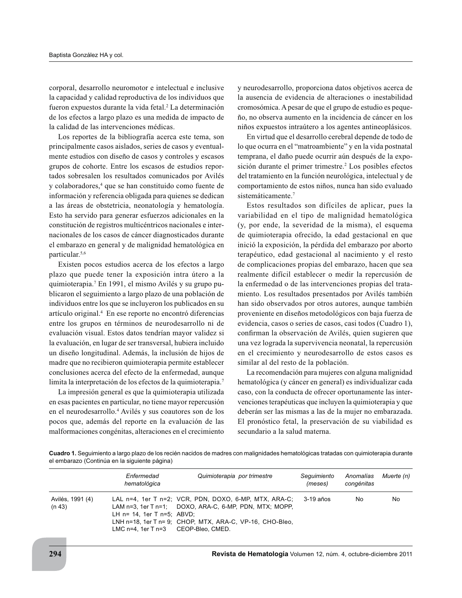corporal, desarrollo neuromotor e intelectual e inclusive la capacidad y calidad reproductiva de los individuos que fueron expuestos durante la vida fetal.<sup>2</sup> La determinación de los efectos a largo plazo es una medida de impacto de la calidad de las intervenciones médicas.

Los reportes de la bibliografía acerca este tema, son principalmente casos aislados, series de casos y eventualmente estudios con diseño de casos y controles y escasos grupos de cohorte. Entre los escasos de estudios reportados sobresalen los resultados comunicados por Avilés y colaboradores,<sup>4</sup> que se han constituido como fuente de información y referencia obligada para quienes se dedican a las áreas de obstetricia, neonatología y hematología. Esto ha servido para generar esfuerzos adicionales en la constitución de registros multicéntricos nacionales e internacionales de los casos de cáncer diagnosticados durante el embarazo en general y de malignidad hematológica en particular.<sup>5,6</sup>

Existen pocos estudios acerca de los efectos a largo plazo que puede tener la exposición intra útero a la quimioterapia.<sup>7</sup> En 1991, el mismo Avilés y su grupo publicaron el seguimiento a largo plazo de una población de individuos entre los que se incluyeron los publicados en su artículo original.<sup>4</sup> En ese reporte no encontró diferencias entre los grupos en términos de neurodesarrollo ni de evaluación visual. Estos datos tendrían mayor validez si la evaluación, en lugar de ser transversal, hubiera incluido un diseño longitudinal. Además, la inclusión de hijos de madre que no recibieron quimioterapia permite establecer conclusiones acerca del efecto de la enfermedad, aunque limita la interpretación de los efectos de la quimioterapia.<sup>7</sup>

La impresión general es que la quimioterapia utilizada en esas pacientes en particular, no tiene mayor repercusión en el neurodesarrollo.<sup>4</sup> Avilés y sus coautores son de los pocos que, además del reporte en la evaluación de las malformaciones congénitas, alteraciones en el crecimiento y neurodesarrollo, proporciona datos objetivos acerca de la ausencia de evidencia de alteraciones o inestabilidad cromosómica. A pesar de que el grupo de estudio es pequeño, no observa aumento en la incidencia de cáncer en los niños expuestos intraútero a los agentes antineoplásicos.

En virtud que el desarrollo cerebral depende de todo de lo que ocurra en el "matroambiente" y en la vida postnatal temprana, el daño puede ocurrir aún después de la exposición durante el primer trimestre.<sup>2</sup> Los posibles efectos del tratamiento en la función neurológica, intelectual y de comportamiento de estos niños, nunca han sido evaluado sistemáticamente.<sup>7</sup>

Estos resultados son difíciles de aplicar, pues la variabilidad en el tipo de malignidad hematológica (y, por ende, la severidad de la misma), el esquema de quimioterapia ofrecido, la edad gestacional en que inició la exposición, la pérdida del embarazo por aborto terapéutico, edad gestacional al nacimiento y el resto de complicaciones propias del embarazo, hacen que sea realmente difícil establecer o medir la repercusión de la enfermedad o de las intervenciones propias del tratamiento. Los resultados presentados por Avilés también han sido observados por otros autores, aunque también proveniente en diseños metodológicos con baja fuerza de evidencia, casos o series de casos, casi todos (Cuadro 1), confirman la observación de Avilés, quien sugieren que una vez lograda la supervivencia neonatal, la repercusión en el crecimiento y neurodesarrollo de estos casos es similar al del resto de la población.

La recomendación para mujeres con alguna malignidad hematológica (y cáncer en general) es individualizar cada caso, con la conducta de ofrecer oportunamente las intervenciones terapéuticas que incluyen la quimioterapia y que deberán ser las mismas a las de la mujer no embarazada. El pronóstico fetal, la preservación de su viabilidad es secundario a la salud materna.

Cuadro 1. Seguimiento a largo plazo de los recién nacidos de madres con malignidades hematológicas tratadas con quimioterapia durante el embarazo (Continúa en la siguiente página)

|                            | Enfermedad<br>hematológica                                             | Quimioterapia por trimestre                                                                                                                                                 | Seguimiento<br>(meses) | Anomalías Muerte (n)<br>congénitas |    |
|----------------------------|------------------------------------------------------------------------|-----------------------------------------------------------------------------------------------------------------------------------------------------------------------------|------------------------|------------------------------------|----|
| Avilés, 1991 (4)<br>(n 43) | LH $n=$ 14. 1er T $n=5$ : ABVD:<br>LMC n=4, 1er T n=3 CEOP-Bleo, CMED. | LAL n=4, 1er T n=2; VCR, PDN, DOXO, 6-MP, MTX, ARA-C;<br>LAM n=3, 1er T n=1; DOXO, ARA-C, 6-MP, PDN, MTX; MOPP,<br>LNH n=18, 1er T n= 9; CHOP, MTX, ARA-C, VP-16, CHO-Bleo, | 3-19 años              | No.                                | No |